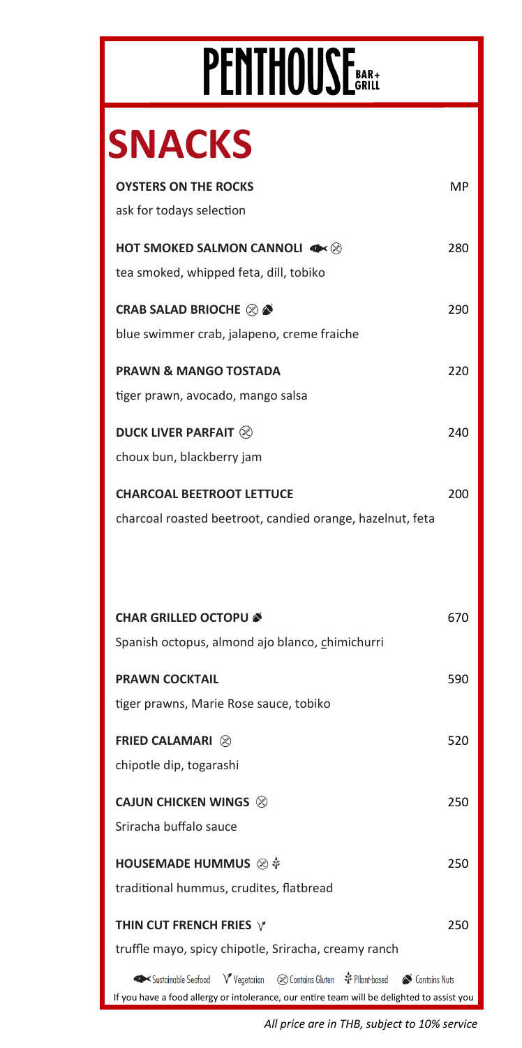## PENTHOUSE BAR+

## **SNACKS**

| <b>OYSTERS ON THE ROCKS</b>                                                          | MP. |
|--------------------------------------------------------------------------------------|-----|
| ask for todays selection                                                             |     |
| HOT SMOKED SALMON CANNOLI <<                                                         | 280 |
| tea smoked, whipped feta, dill, tobiko                                               |     |
|                                                                                      |     |
| <b>CRAB SALAD BRIOCHE &amp; &amp;</b>                                                | 290 |
| blue swimmer crab, jalapeno, creme fraiche                                           |     |
| <b>PRAWN &amp; MANGO TOSTADA</b>                                                     | 220 |
| tiger prawn, avocado, mango salsa                                                    |     |
| <b>DUCK LIVER PARFAIT 8</b>                                                          | 240 |
| choux bun, blackberry jam                                                            |     |
|                                                                                      |     |
| <b>CHARCOAL BEETROOT LETTUCE</b>                                                     | 200 |
| charcoal roasted beetroot, candied orange, hazelnut, feta                            |     |
|                                                                                      |     |
|                                                                                      |     |
|                                                                                      |     |
|                                                                                      |     |
| <b>CHAR GRILLED OCTOPU &amp;</b>                                                     | 670 |
| Spanish octopus, almond ajo blanco, chimichurri                                      |     |
| <b>PRAWN COCKTAIL</b>                                                                | 590 |
| tiger prawns, Marie Rose sauce, tobiko                                               |     |
|                                                                                      |     |
| <b>FRIED CALAMARI </b> <sup>⊗</sup>                                                  | 520 |
| chipotle dip, togarashi                                                              |     |
| <b>CAJUN CHICKEN WINGS ⊗</b>                                                         | 250 |
| Sriracha buffalo sauce                                                               |     |
|                                                                                      |     |
| HOUSEMADE HUMMUS ⊗ *                                                                 | 250 |
| traditional hummus, crudites, flatbread                                              |     |
| THIN CUT FRENCH FRIES $\forall$                                                      | 250 |
| truffle mayo, spicy chipotle, Sriracha, creamy ranch                                 |     |
| ◆ Sustainable Seafood V Vegetarian (※ Contains Gluten * Pllant-based < Contains Nuts |     |